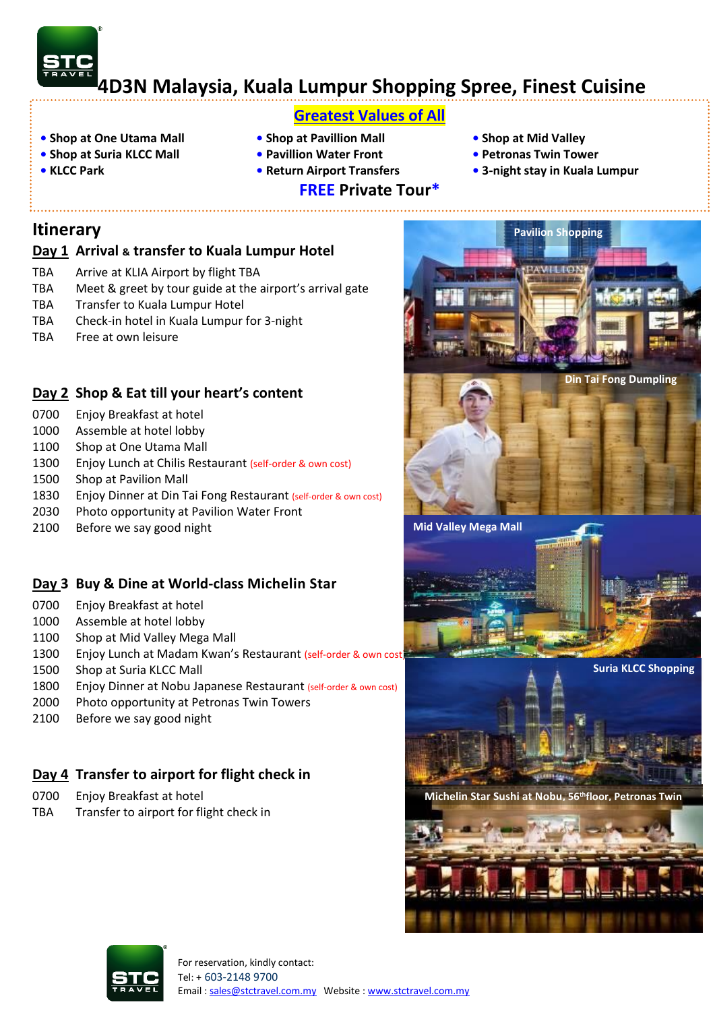# **4D3N Malaysia, Kuala Lumpur Shopping Spree, Finest Cuisine**

# **Greatest Values of All**

- **• Shop at One Utama Mall Shop at Pavillion Mall Shop at Mid Valley**
- **• Shop at Suria KLCC Mall Pavillion Water Front Petronas Twin Tower**
- 
- 
- 
- **FREE Private Tour\***
- -
- **KLCC Park Return Airport Transfers • 3-night stay in Kuala Lumpur**

**Pavilion Shopping** 

# **Itinerary**

#### **Day 1 Arrival & transfer to Kuala Lumpur Hotel**

- TBA Arrive at KLIA Airport by flight TBA
- TBA Meet & greet by tour guide at the airport's arrival gate
- TBA Transfer to Kuala Lumpur Hotel
- TBA Check-in hotel in Kuala Lumpur for 3-night
- TBA Free at own leisure

## **Day 2 Shop & Eat till your heart's content**

- 0700 Enjoy Breakfast at hotel
- 1000 Assemble at hotel lobby
- 1100 Shop at One Utama Mall
- 1300 Enjoy Lunch at Chilis Restaurant (self-order & own cost)
- 1500 Shop at Pavilion Mall
- 1830 Enjoy Dinner at Din Tai Fong Restaurant (self-order & own cost)
- 2030 Photo opportunity at Pavilion Water Front
- 2100 Before we say good night

## **Day 3 Buy & Dine at World-class Michelin Star**

- 0700 Enjoy Breakfast at hotel
- 1000 Assemble at hotel lobby
- 1100 Shop at Mid Valley Mega Mall
- 1300 Enjoy Lunch at Madam Kwan's Restaurant (self-order & own cost)
- 1500 Shop at Suria KLCC Mall
- 1800 Enjoy Dinner at Nobu Japanese Restaurant (self-order & own cost)
- 2000 Photo opportunity at Petronas Twin Towers
- 2100 Before we say good night

# **Day 4 Transfer to airport for flight check in**

- 0700 Enjoy Breakfast at hotel
- TBA Transfer to airport for flight check in









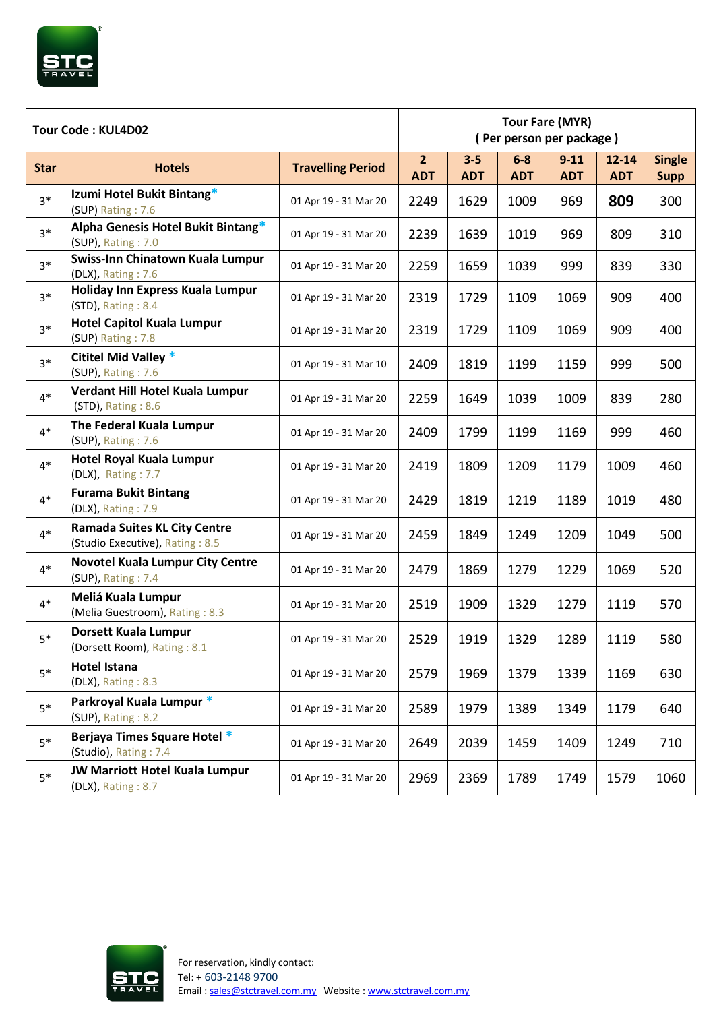

| Tour Code: KUL4D02 |                                                                        |                          | <b>Tour Fare (MYR)</b><br>(Per person per package) |                       |                     |                        |                         |                              |
|--------------------|------------------------------------------------------------------------|--------------------------|----------------------------------------------------|-----------------------|---------------------|------------------------|-------------------------|------------------------------|
| <b>Star</b>        | <b>Hotels</b>                                                          | <b>Travelling Period</b> | 2 <sup>1</sup><br><b>ADT</b>                       | $3 - 5$<br><b>ADT</b> | $6-8$<br><b>ADT</b> | $9 - 11$<br><b>ADT</b> | $12 - 14$<br><b>ADT</b> | <b>Single</b><br><b>Supp</b> |
| $3*$               | Izumi Hotel Bukit Bintang*<br>(SUP) Rating: 7.6                        | 01 Apr 19 - 31 Mar 20    | 2249                                               | 1629                  | 1009                | 969                    | 809                     | 300                          |
| $3*$               | Alpha Genesis Hotel Bukit Bintang*<br>(SUP), Rating: 7.0               | 01 Apr 19 - 31 Mar 20    | 2239                                               | 1639                  | 1019                | 969                    | 809                     | 310                          |
| $3*$               | Swiss-Inn Chinatown Kuala Lumpur<br>(DLX), Rating: 7.6                 | 01 Apr 19 - 31 Mar 20    | 2259                                               | 1659                  | 1039                | 999                    | 839                     | 330                          |
| $3*$               | Holiday Inn Express Kuala Lumpur<br>(STD), Rating: 8.4                 | 01 Apr 19 - 31 Mar 20    | 2319                                               | 1729                  | 1109                | 1069                   | 909                     | 400                          |
| $3*$               | <b>Hotel Capitol Kuala Lumpur</b><br>(SUP) Rating: 7.8                 | 01 Apr 19 - 31 Mar 20    | 2319                                               | 1729                  | 1109                | 1069                   | 909                     | 400                          |
| $3*$               | Cititel Mid Valley *<br>(SUP), Rating: 7.6                             | 01 Apr 19 - 31 Mar 10    | 2409                                               | 1819                  | 1199                | 1159                   | 999                     | 500                          |
| $4*$               | Verdant Hill Hotel Kuala Lumpur<br>(STD), Rating: 8.6                  | 01 Apr 19 - 31 Mar 20    | 2259                                               | 1649                  | 1039                | 1009                   | 839                     | 280                          |
| $4*$               | The Federal Kuala Lumpur<br>(SUP), Rating: 7.6                         | 01 Apr 19 - 31 Mar 20    | 2409                                               | 1799                  | 1199                | 1169                   | 999                     | 460                          |
| $4*$               | <b>Hotel Royal Kuala Lumpur</b><br>(DLX), Rating: 7.7                  | 01 Apr 19 - 31 Mar 20    | 2419                                               | 1809                  | 1209                | 1179                   | 1009                    | 460                          |
| $4*$               | <b>Furama Bukit Bintang</b><br>(DLX), Rating: 7.9                      | 01 Apr 19 - 31 Mar 20    | 2429                                               | 1819                  | 1219                | 1189                   | 1019                    | 480                          |
| $4*$               | <b>Ramada Suites KL City Centre</b><br>(Studio Executive), Rating: 8.5 | 01 Apr 19 - 31 Mar 20    | 2459                                               | 1849                  | 1249                | 1209                   | 1049                    | 500                          |
| $4*$               | <b>Novotel Kuala Lumpur City Centre</b><br>(SUP), Rating: 7.4          | 01 Apr 19 - 31 Mar 20    | 2479                                               | 1869                  | 1279                | 1229                   | 1069                    | 520                          |
| $4*$               | Meliá Kuala Lumpur<br>(Melia Guestroom), Rating: 8.3                   | 01 Apr 19 - 31 Mar 20    | 2519                                               | 1909                  | 1329                | 1279                   | 1119                    | 570                          |
| $5*$               | Dorsett Kuala Lumpur<br>(Dorsett Room), Rating: 8.1                    | 01 Apr 19 - 31 Mar 20    | 2529                                               | 1919                  | 1329                | 1289                   | 1119                    | 580                          |
| $5*$               | <b>Hotel Istana</b><br>(DLX), Rating: 8.3                              | 01 Apr 19 - 31 Mar 20    | 2579                                               | 1969                  | 1379                | 1339                   | 1169                    | 630                          |
| $5*$               | Parkroyal Kuala Lumpur *<br>(SUP), Rating: 8.2                         | 01 Apr 19 - 31 Mar 20    | 2589                                               | 1979                  | 1389                | 1349                   | 1179                    | 640                          |
| $5*$               | Berjaya Times Square Hotel *<br>(Studio), Rating: 7.4                  | 01 Apr 19 - 31 Mar 20    | 2649                                               | 2039                  | 1459                | 1409                   | 1249                    | 710                          |
| $5*$               | <b>JW Marriott Hotel Kuala Lumpur</b><br>(DLX), Rating: 8.7            | 01 Apr 19 - 31 Mar 20    | 2969                                               | 2369                  | 1789                | 1749                   | 1579                    | 1060                         |